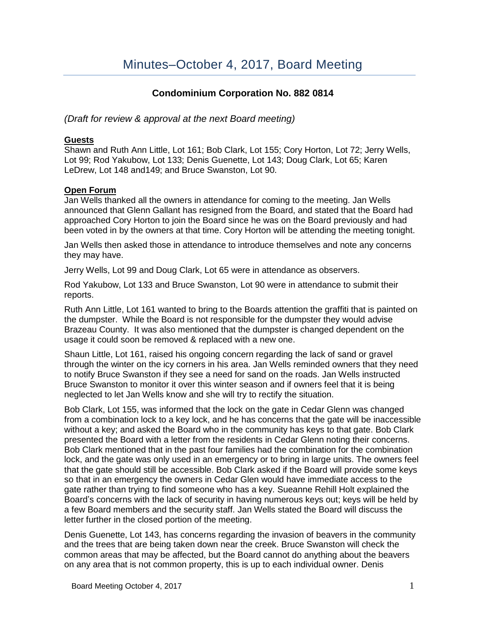# **Condominium Corporation No. 882 0814**

*(Draft for review & approval at the next Board meeting)*

## **Guests**

Shawn and Ruth Ann Little, Lot 161; Bob Clark, Lot 155; Cory Horton, Lot 72; Jerry Wells, Lot 99; Rod Yakubow, Lot 133; Denis Guenette, Lot 143; Doug Clark, Lot 65; Karen LeDrew, Lot 148 and149; and Bruce Swanston, Lot 90.

### **Open Forum**

Jan Wells thanked all the owners in attendance for coming to the meeting. Jan Wells announced that Glenn Gallant has resigned from the Board, and stated that the Board had approached Cory Horton to join the Board since he was on the Board previously and had been voted in by the owners at that time. Cory Horton will be attending the meeting tonight.

Jan Wells then asked those in attendance to introduce themselves and note any concerns they may have.

Jerry Wells, Lot 99 and Doug Clark, Lot 65 were in attendance as observers.

Rod Yakubow, Lot 133 and Bruce Swanston, Lot 90 were in attendance to submit their reports.

Ruth Ann Little, Lot 161 wanted to bring to the Boards attention the graffiti that is painted on the dumpster. While the Board is not responsible for the dumpster they would advise Brazeau County. It was also mentioned that the dumpster is changed dependent on the usage it could soon be removed & replaced with a new one.

Shaun Little, Lot 161, raised his ongoing concern regarding the lack of sand or gravel through the winter on the icy corners in his area. Jan Wells reminded owners that they need to notify Bruce Swanston if they see a need for sand on the roads. Jan Wells instructed Bruce Swanston to monitor it over this winter season and if owners feel that it is being neglected to let Jan Wells know and she will try to rectify the situation.

Bob Clark, Lot 155, was informed that the lock on the gate in Cedar Glenn was changed from a combination lock to a key lock, and he has concerns that the gate will be inaccessible without a key; and asked the Board who in the community has keys to that gate. Bob Clark presented the Board with a letter from the residents in Cedar Glenn noting their concerns. Bob Clark mentioned that in the past four families had the combination for the combination lock, and the gate was only used in an emergency or to bring in large units. The owners feel that the gate should still be accessible. Bob Clark asked if the Board will provide some keys so that in an emergency the owners in Cedar Glen would have immediate access to the gate rather than trying to find someone who has a key. Sueanne Rehill Holt explained the Board's concerns with the lack of security in having numerous keys out; keys will be held by a few Board members and the security staff. Jan Wells stated the Board will discuss the letter further in the closed portion of the meeting.

Denis Guenette, Lot 143, has concerns regarding the invasion of beavers in the community and the trees that are being taken down near the creek. Bruce Swanston will check the common areas that may be affected, but the Board cannot do anything about the beavers on any area that is not common property, this is up to each individual owner. Denis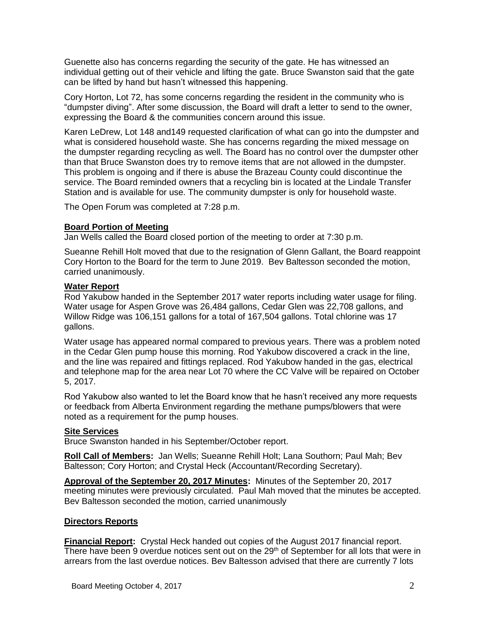Guenette also has concerns regarding the security of the gate. He has witnessed an individual getting out of their vehicle and lifting the gate. Bruce Swanston said that the gate can be lifted by hand but hasn't witnessed this happening.

Cory Horton, Lot 72, has some concerns regarding the resident in the community who is "dumpster diving". After some discussion, the Board will draft a letter to send to the owner, expressing the Board & the communities concern around this issue.

Karen LeDrew, Lot 148 and149 requested clarification of what can go into the dumpster and what is considered household waste. She has concerns regarding the mixed message on the dumpster regarding recycling as well. The Board has no control over the dumpster other than that Bruce Swanston does try to remove items that are not allowed in the dumpster. This problem is ongoing and if there is abuse the Brazeau County could discontinue the service. The Board reminded owners that a recycling bin is located at the Lindale Transfer Station and is available for use. The community dumpster is only for household waste.

The Open Forum was completed at 7:28 p.m.

### **Board Portion of Meeting**

Jan Wells called the Board closed portion of the meeting to order at 7:30 p.m.

Sueanne Rehill Holt moved that due to the resignation of Glenn Gallant, the Board reappoint Cory Horton to the Board for the term to June 2019. Bev Baltesson seconded the motion, carried unanimously.

### **Water Report**

Rod Yakubow handed in the September 2017 water reports including water usage for filing. Water usage for Aspen Grove was 26,484 gallons, Cedar Glen was 22,708 gallons, and Willow Ridge was 106,151 gallons for a total of 167,504 gallons. Total chlorine was 17 gallons.

Water usage has appeared normal compared to previous years. There was a problem noted in the Cedar Glen pump house this morning. Rod Yakubow discovered a crack in the line, and the line was repaired and fittings replaced. Rod Yakubow handed in the gas, electrical and telephone map for the area near Lot 70 where the CC Valve will be repaired on October 5, 2017.

Rod Yakubow also wanted to let the Board know that he hasn't received any more requests or feedback from Alberta Environment regarding the methane pumps/blowers that were noted as a requirement for the pump houses.

# **Site Services**

Bruce Swanston handed in his September/October report.

**Roll Call of Members:** Jan Wells; Sueanne Rehill Holt; Lana Southorn; Paul Mah; Bev Baltesson; Cory Horton; and Crystal Heck (Accountant/Recording Secretary).

**Approval of the September 20, 2017 Minutes:** Minutes of the September 20, 2017 meeting minutes were previously circulated. Paul Mah moved that the minutes be accepted. Bev Baltesson seconded the motion, carried unanimously

# **Directors Reports**

**Financial Report:** Crystal Heck handed out copies of the August 2017 financial report. There have been 9 overdue notices sent out on the  $29<sup>th</sup>$  of September for all lots that were in arrears from the last overdue notices. Bev Baltesson advised that there are currently 7 lots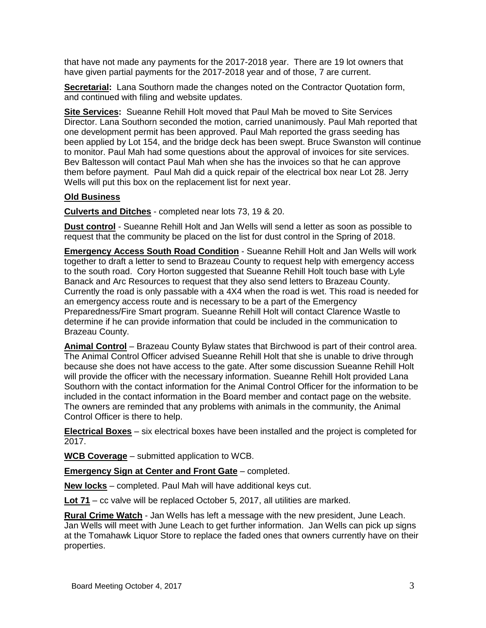that have not made any payments for the 2017-2018 year. There are 19 lot owners that have given partial payments for the 2017-2018 year and of those, 7 are current.

**Secretarial:** Lana Southorn made the changes noted on the Contractor Quotation form, and continued with filing and website updates.

**Site Services:** Sueanne Rehill Holt moved that Paul Mah be moved to Site Services Director. Lana Southorn seconded the motion, carried unanimously. Paul Mah reported that one development permit has been approved. Paul Mah reported the grass seeding has been applied by Lot 154, and the bridge deck has been swept. Bruce Swanston will continue to monitor. Paul Mah had some questions about the approval of invoices for site services. Bev Baltesson will contact Paul Mah when she has the invoices so that he can approve them before payment. Paul Mah did a quick repair of the electrical box near Lot 28. Jerry Wells will put this box on the replacement list for next year.

### **Old Business**

**Culverts and Ditches** - completed near lots 73, 19 & 20.

**Dust control** - Sueanne Rehill Holt and Jan Wells will send a letter as soon as possible to request that the community be placed on the list for dust control in the Spring of 2018.

**Emergency Access South Road Condition** - Sueanne Rehill Holt and Jan Wells will work together to draft a letter to send to Brazeau County to request help with emergency access to the south road. Cory Horton suggested that Sueanne Rehill Holt touch base with Lyle Banack and Arc Resources to request that they also send letters to Brazeau County. Currently the road is only passable with a 4X4 when the road is wet. This road is needed for an emergency access route and is necessary to be a part of the Emergency Preparedness/Fire Smart program. Sueanne Rehill Holt will contact Clarence Wastle to determine if he can provide information that could be included in the communication to Brazeau County.

**Animal Control** – Brazeau County Bylaw states that Birchwood is part of their control area. The Animal Control Officer advised Sueanne Rehill Holt that she is unable to drive through because she does not have access to the gate. After some discussion Sueanne Rehill Holt will provide the officer with the necessary information. Sueanne Rehill Holt provided Lana Southorn with the contact information for the Animal Control Officer for the information to be included in the contact information in the Board member and contact page on the website. The owners are reminded that any problems with animals in the community, the Animal Control Officer is there to help.

**Electrical Boxes** – six electrical boxes have been installed and the project is completed for 2017.

**WCB Coverage** – submitted application to WCB.

**Emergency Sign at Center and Front Gate** – completed.

**New locks** – completed. Paul Mah will have additional keys cut.

**Lot 71** – cc valve will be replaced October 5, 2017, all utilities are marked.

**Rural Crime Watch** - Jan Wells has left a message with the new president, June Leach. Jan Wells will meet with June Leach to get further information. Jan Wells can pick up signs at the Tomahawk Liquor Store to replace the faded ones that owners currently have on their properties.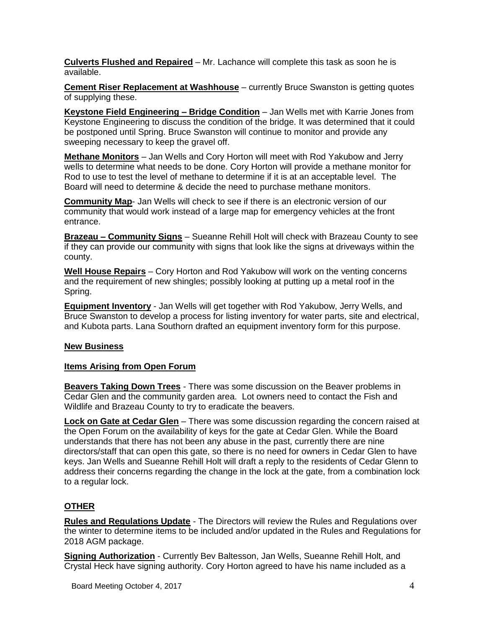**Culverts Flushed and Repaired** – Mr. Lachance will complete this task as soon he is available.

**Cement Riser Replacement at Washhouse** – currently Bruce Swanston is getting quotes of supplying these.

**Keystone Field Engineering – Bridge Condition** – Jan Wells met with Karrie Jones from Keystone Engineering to discuss the condition of the bridge. It was determined that it could be postponed until Spring. Bruce Swanston will continue to monitor and provide any sweeping necessary to keep the gravel off.

**Methane Monitors** – Jan Wells and Cory Horton will meet with Rod Yakubow and Jerry wells to determine what needs to be done. Cory Horton will provide a methane monitor for Rod to use to test the level of methane to determine if it is at an acceptable level. The Board will need to determine & decide the need to purchase methane monitors.

**Community Map**- Jan Wells will check to see if there is an electronic version of our community that would work instead of a large map for emergency vehicles at the front entrance.

**Brazeau – Community Signs** – Sueanne Rehill Holt will check with Brazeau County to see if they can provide our community with signs that look like the signs at driveways within the county.

**Well House Repairs** – Cory Horton and Rod Yakubow will work on the venting concerns and the requirement of new shingles; possibly looking at putting up a metal roof in the Spring.

**Equipment Inventory** - Jan Wells will get together with Rod Yakubow, Jerry Wells, and Bruce Swanston to develop a process for listing inventory for water parts, site and electrical, and Kubota parts. Lana Southorn drafted an equipment inventory form for this purpose.

# **New Business**

#### **Items Arising from Open Forum**

**Beavers Taking Down Trees** - There was some discussion on the Beaver problems in Cedar Glen and the community garden area. Lot owners need to contact the Fish and Wildlife and Brazeau County to try to eradicate the beavers.

**Lock on Gate at Cedar Glen** – There was some discussion regarding the concern raised at the Open Forum on the availability of keys for the gate at Cedar Glen. While the Board understands that there has not been any abuse in the past, currently there are nine directors/staff that can open this gate, so there is no need for owners in Cedar Glen to have keys. Jan Wells and Sueanne Rehill Holt will draft a reply to the residents of Cedar Glenn to address their concerns regarding the change in the lock at the gate, from a combination lock to a regular lock.

# **OTHER**

**Rules and Regulations Update** - The Directors will review the Rules and Regulations over the winter to determine items to be included and/or updated in the Rules and Regulations for 2018 AGM package.

**Signing Authorization** - Currently Bev Baltesson, Jan Wells, Sueanne Rehill Holt, and Crystal Heck have signing authority. Cory Horton agreed to have his name included as a